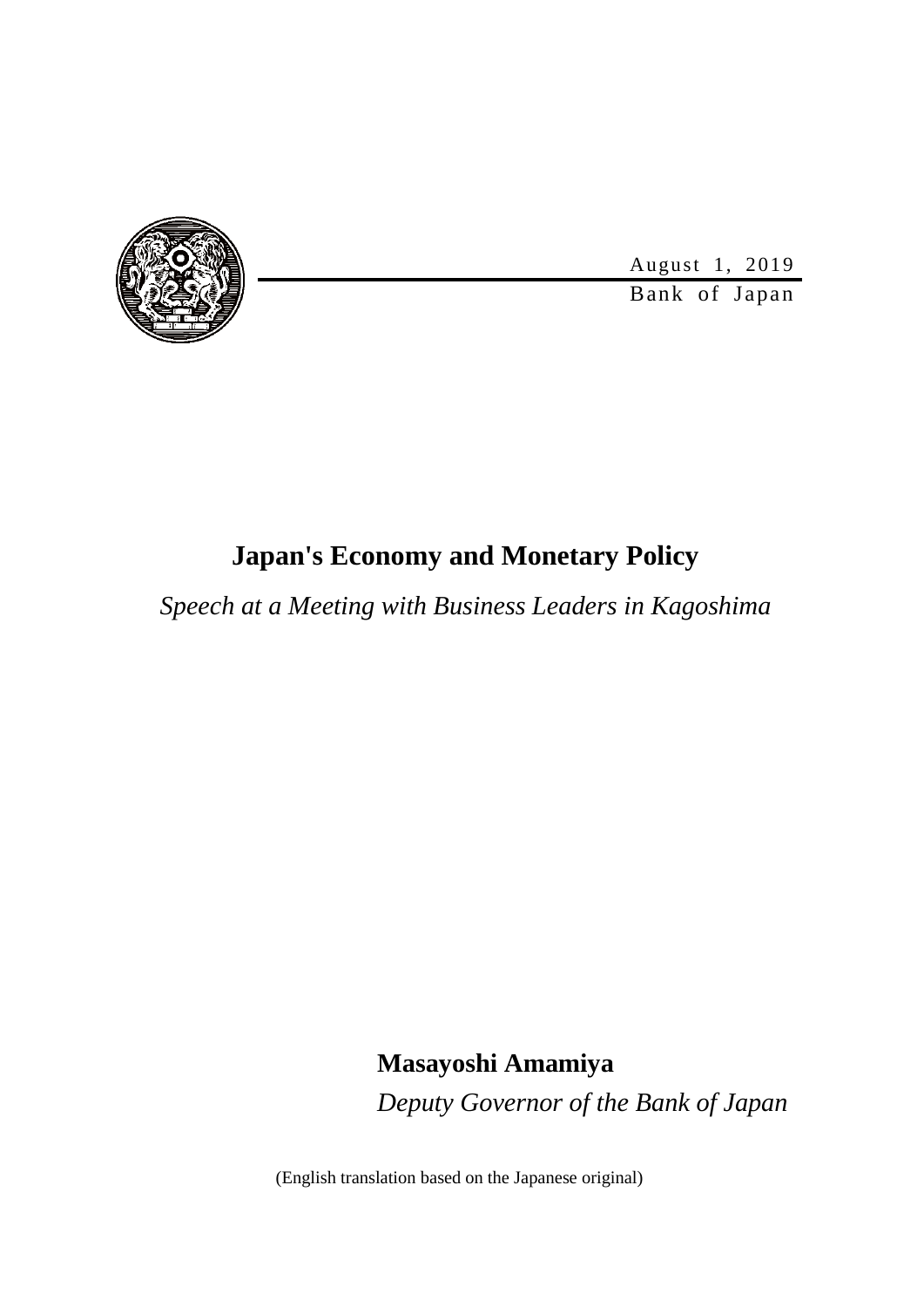

August 1, 2019

Bank of Japan

# **Japan's Economy and Monetary Policy**

*Speech at a Meeting with Business Leaders in Kagoshima*

**Masayoshi Amamiya** *Deputy Governor of the Bank of Japan*

(English translation based on the Japanese original)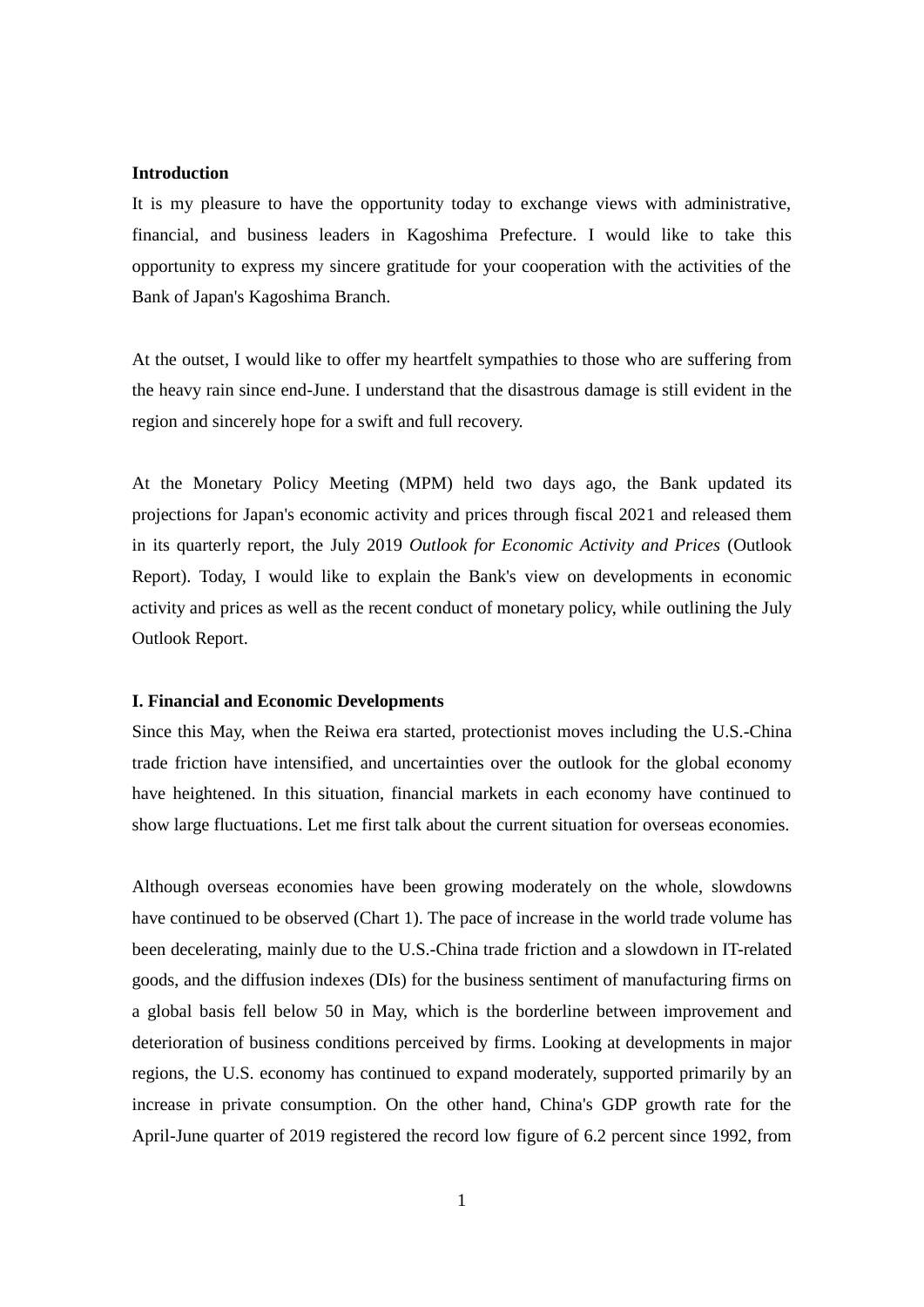#### **Introduction**

It is my pleasure to have the opportunity today to exchange views with administrative, financial, and business leaders in Kagoshima Prefecture. I would like to take this opportunity to express my sincere gratitude for your cooperation with the activities of the Bank of Japan's Kagoshima Branch.

At the outset, I would like to offer my heartfelt sympathies to those who are suffering from the heavy rain since end-June. I understand that the disastrous damage is still evident in the region and sincerely hope for a swift and full recovery.

At the Monetary Policy Meeting (MPM) held two days ago, the Bank updated its projections for Japan's economic activity and prices through fiscal 2021 and released them in its quarterly report, the July 2019 *Outlook for Economic Activity and Prices* (Outlook Report). Today, I would like to explain the Bank's view on developments in economic activity and prices as well as the recent conduct of monetary policy, while outlining the July Outlook Report.

### **I. Financial and Economic Developments**

Since this May, when the Reiwa era started, protectionist moves including the U.S.-China trade friction have intensified, and uncertainties over the outlook for the global economy have heightened. In this situation, financial markets in each economy have continued to show large fluctuations. Let me first talk about the current situation for overseas economies.

Although overseas economies have been growing moderately on the whole, slowdowns have continued to be observed (Chart 1). The pace of increase in the world trade volume has been decelerating, mainly due to the U.S.-China trade friction and a slowdown in IT-related goods, and the diffusion indexes (DIs) for the business sentiment of manufacturing firms on a global basis fell below 50 in May, which is the borderline between improvement and deterioration of business conditions perceived by firms. Looking at developments in major regions, the U.S. economy has continued to expand moderately, supported primarily by an increase in private consumption. On the other hand, China's GDP growth rate for the April-June quarter of 2019 registered the record low figure of 6.2 percent since 1992, from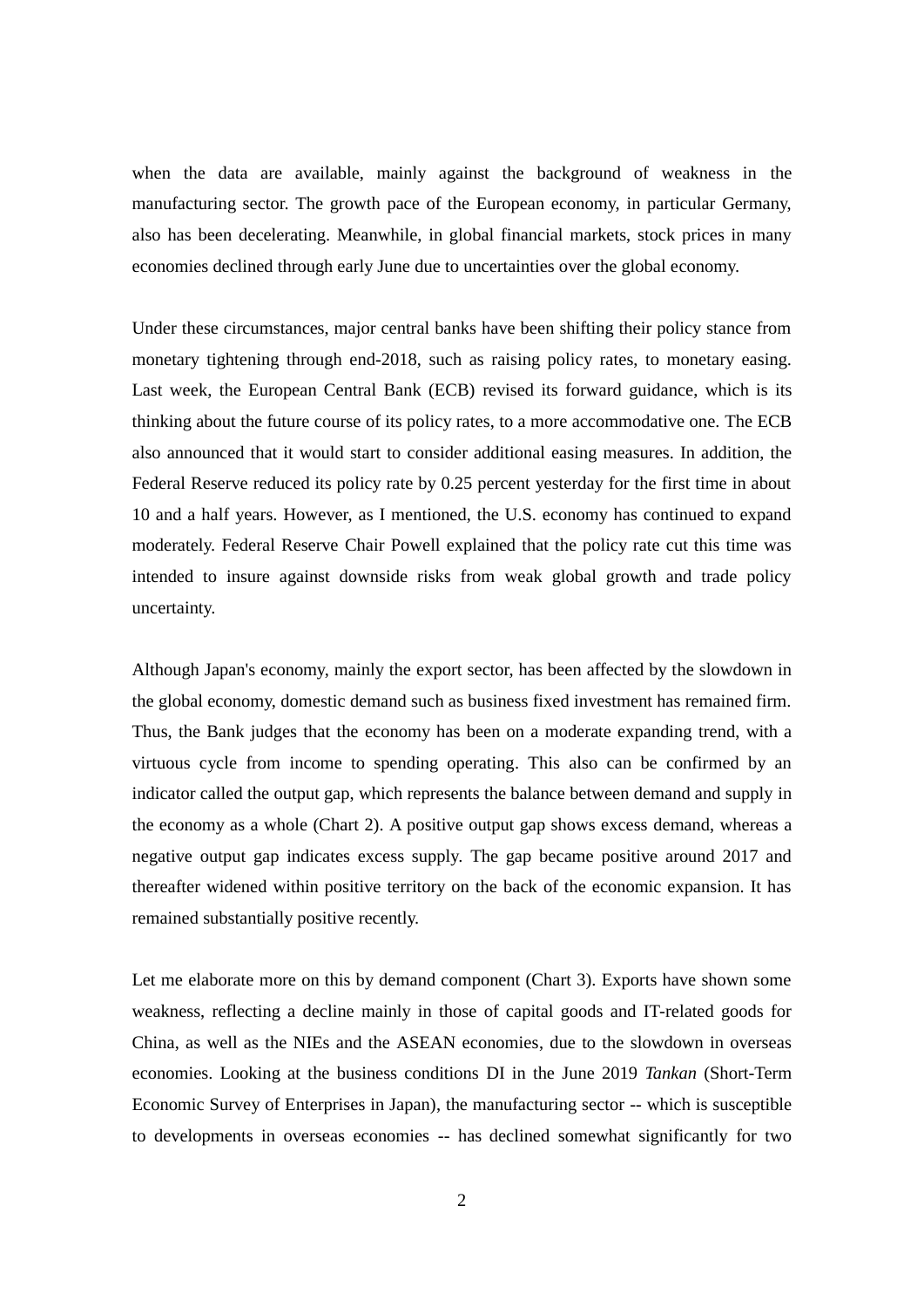when the data are available, mainly against the background of weakness in the manufacturing sector. The growth pace of the European economy, in particular Germany, also has been decelerating. Meanwhile, in global financial markets, stock prices in many economies declined through early June due to uncertainties over the global economy.

Under these circumstances, major central banks have been shifting their policy stance from monetary tightening through end-2018, such as raising policy rates, to monetary easing. Last week, the European Central Bank (ECB) revised its forward guidance, which is its thinking about the future course of its policy rates, to a more accommodative one. The ECB also announced that it would start to consider additional easing measures. In addition, the Federal Reserve reduced its policy rate by 0.25 percent yesterday for the first time in about 10 and a half years. However, as I mentioned, the U.S. economy has continued to expand moderately. Federal Reserve Chair Powell explained that the policy rate cut this time was intended to insure against downside risks from weak global growth and trade policy uncertainty.

Although Japan's economy, mainly the export sector, has been affected by the slowdown in the global economy, domestic demand such as business fixed investment has remained firm. Thus, the Bank judges that the economy has been on a moderate expanding trend, with a virtuous cycle from income to spending operating. This also can be confirmed by an indicator called the output gap, which represents the balance between demand and supply in the economy as a whole (Chart 2). A positive output gap shows excess demand, whereas a negative output gap indicates excess supply. The gap became positive around 2017 and thereafter widened within positive territory on the back of the economic expansion. It has remained substantially positive recently.

Let me elaborate more on this by demand component (Chart 3). Exports have shown some weakness, reflecting a decline mainly in those of capital goods and IT-related goods for China, as well as the NIEs and the ASEAN economies, due to the slowdown in overseas economies. Looking at the business conditions DI in the June 2019 *Tankan* (Short-Term Economic Survey of Enterprises in Japan), the manufacturing sector -- which is susceptible to developments in overseas economies -- has declined somewhat significantly for two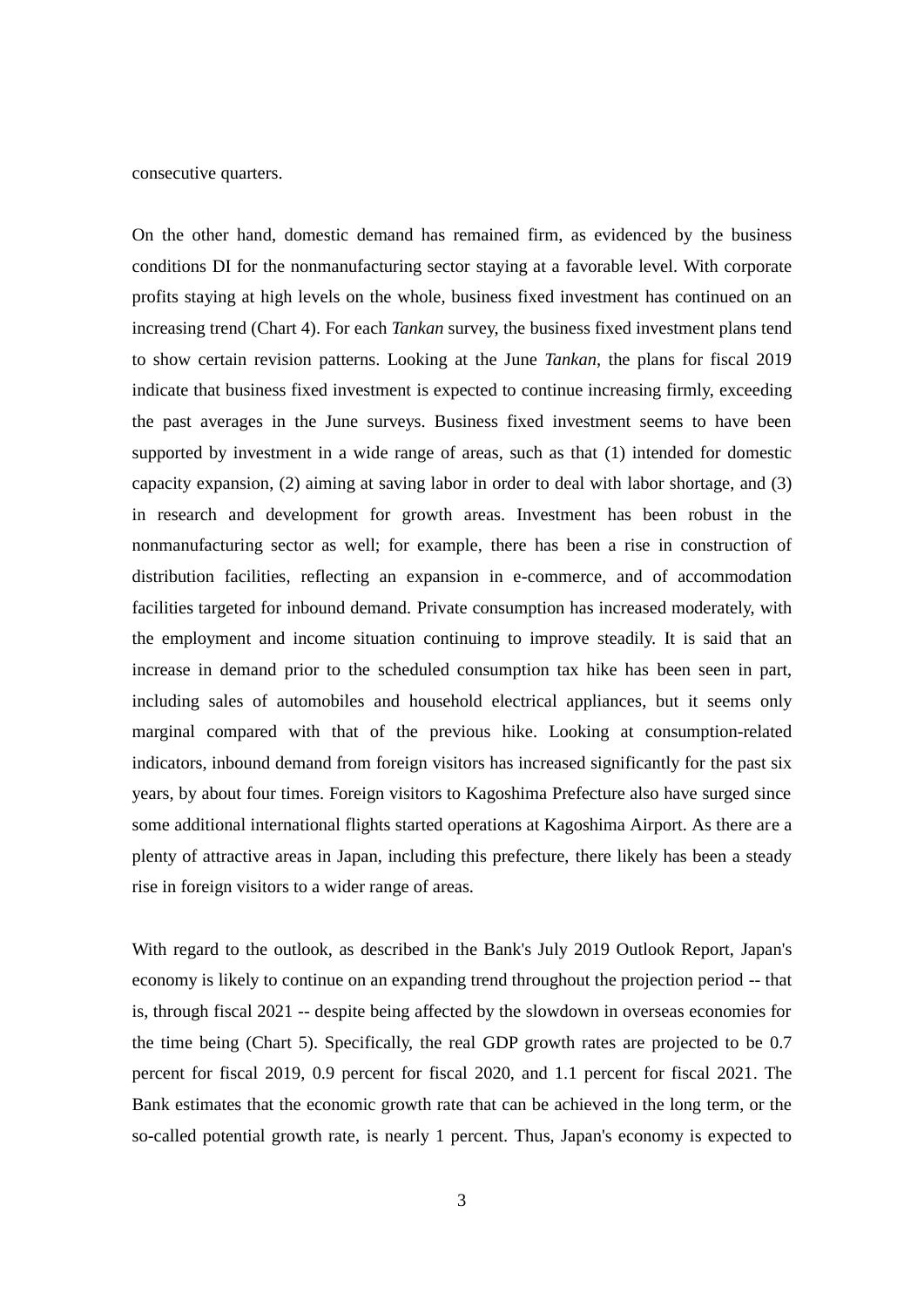consecutive quarters.

On the other hand, domestic demand has remained firm, as evidenced by the business conditions DI for the nonmanufacturing sector staying at a favorable level. With corporate profits staying at high levels on the whole, business fixed investment has continued on an increasing trend (Chart 4). For each *Tankan* survey, the business fixed investment plans tend to show certain revision patterns. Looking at the June *Tankan*, the plans for fiscal 2019 indicate that business fixed investment is expected to continue increasing firmly, exceeding the past averages in the June surveys. Business fixed investment seems to have been supported by investment in a wide range of areas, such as that (1) intended for domestic capacity expansion, (2) aiming at saving labor in order to deal with labor shortage, and (3) in research and development for growth areas. Investment has been robust in the nonmanufacturing sector as well; for example, there has been a rise in construction of distribution facilities, reflecting an expansion in e-commerce, and of accommodation facilities targeted for inbound demand. Private consumption has increased moderately, with the employment and income situation continuing to improve steadily. It is said that an increase in demand prior to the scheduled consumption tax hike has been seen in part, including sales of automobiles and household electrical appliances, but it seems only marginal compared with that of the previous hike. Looking at consumption-related indicators, inbound demand from foreign visitors has increased significantly for the past six years, by about four times. Foreign visitors to Kagoshima Prefecture also have surged since some additional international flights started operations at Kagoshima Airport. As there are a plenty of attractive areas in Japan, including this prefecture, there likely has been a steady rise in foreign visitors to a wider range of areas.

With regard to the outlook, as described in the Bank's July 2019 Outlook Report, Japan's economy is likely to continue on an expanding trend throughout the projection period -- that is, through fiscal 2021 -- despite being affected by the slowdown in overseas economies for the time being (Chart 5). Specifically, the real GDP growth rates are projected to be 0.7 percent for fiscal 2019, 0.9 percent for fiscal 2020, and 1.1 percent for fiscal 2021. The Bank estimates that the economic growth rate that can be achieved in the long term, or the so-called potential growth rate, is nearly 1 percent. Thus, Japan's economy is expected to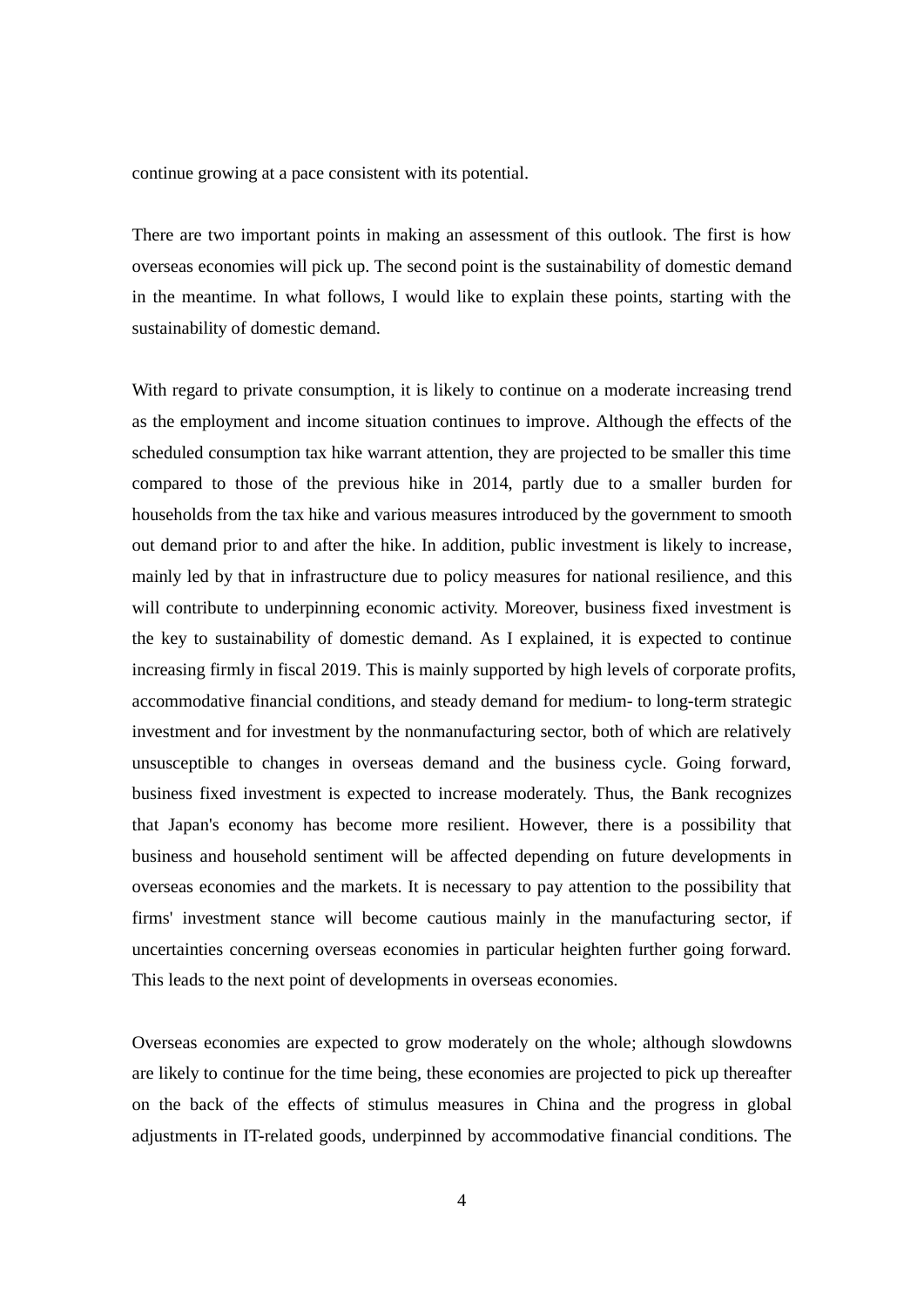continue growing at a pace consistent with its potential.

There are two important points in making an assessment of this outlook. The first is how overseas economies will pick up. The second point is the sustainability of domestic demand in the meantime. In what follows, I would like to explain these points, starting with the sustainability of domestic demand.

With regard to private consumption, it is likely to continue on a moderate increasing trend as the employment and income situation continues to improve. Although the effects of the scheduled consumption tax hike warrant attention, they are projected to be smaller this time compared to those of the previous hike in 2014, partly due to a smaller burden for households from the tax hike and various measures introduced by the government to smooth out demand prior to and after the hike. In addition, public investment is likely to increase, mainly led by that in infrastructure due to policy measures for national resilience, and this will contribute to underpinning economic activity. Moreover, business fixed investment is the key to sustainability of domestic demand. As I explained, it is expected to continue increasing firmly in fiscal 2019. This is mainly supported by high levels of corporate profits, accommodative financial conditions, and steady demand for medium- to long-term strategic investment and for investment by the nonmanufacturing sector, both of which are relatively unsusceptible to changes in overseas demand and the business cycle. Going forward, business fixed investment is expected to increase moderately. Thus, the Bank recognizes that Japan's economy has become more resilient. However, there is a possibility that business and household sentiment will be affected depending on future developments in overseas economies and the markets. It is necessary to pay attention to the possibility that firms' investment stance will become cautious mainly in the manufacturing sector, if uncertainties concerning overseas economies in particular heighten further going forward. This leads to the next point of developments in overseas economies.

Overseas economies are expected to grow moderately on the whole; although slowdowns are likely to continue for the time being, these economies are projected to pick up thereafter on the back of the effects of stimulus measures in China and the progress in global adjustments in IT-related goods, underpinned by accommodative financial conditions. The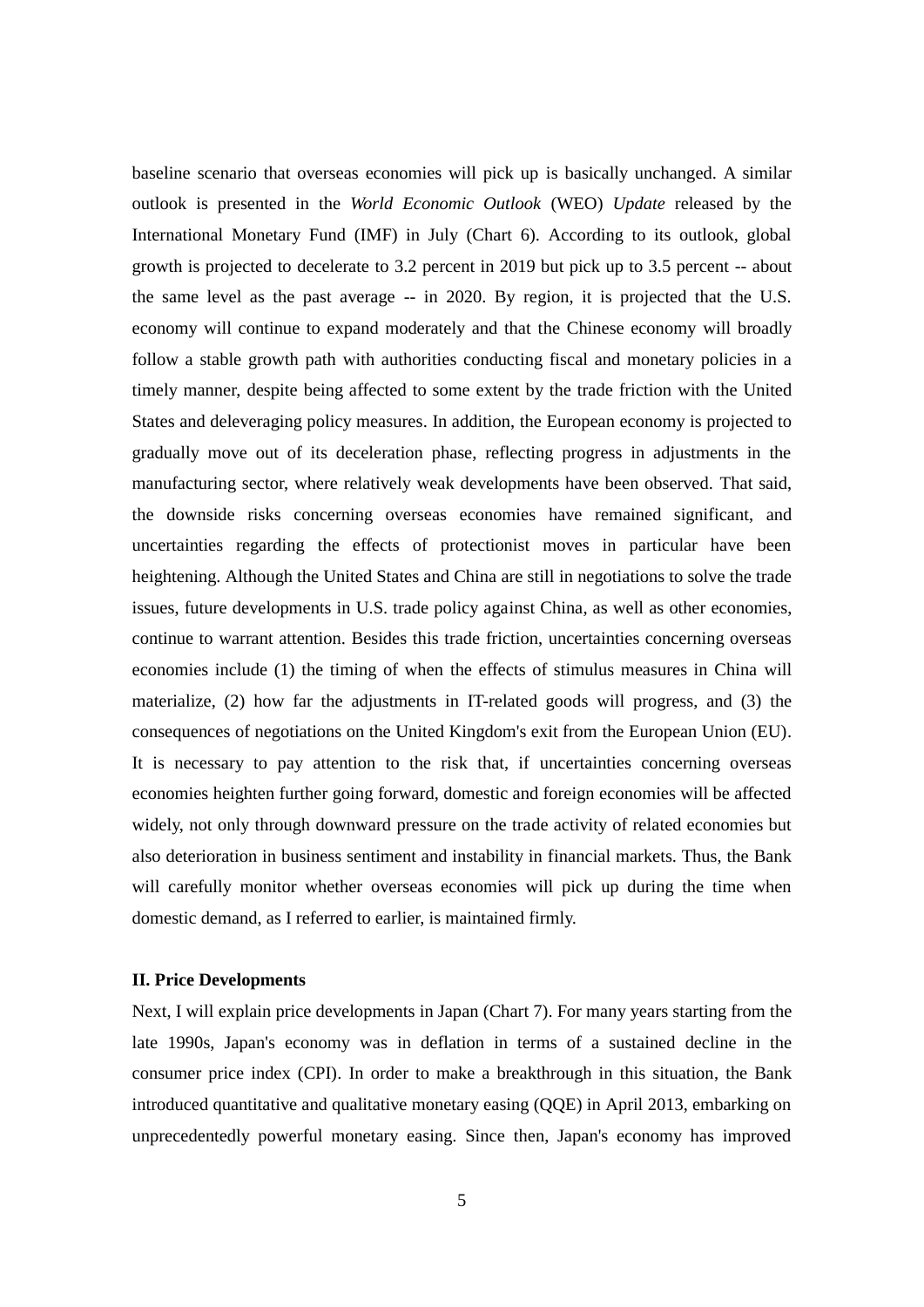baseline scenario that overseas economies will pick up is basically unchanged. A similar outlook is presented in the *World Economic Outlook* (WEO) *Update* released by the International Monetary Fund (IMF) in July (Chart 6). According to its outlook, global growth is projected to decelerate to 3.2 percent in 2019 but pick up to 3.5 percent -- about the same level as the past average -- in 2020. By region, it is projected that the U.S. economy will continue to expand moderately and that the Chinese economy will broadly follow a stable growth path with authorities conducting fiscal and monetary policies in a timely manner, despite being affected to some extent by the trade friction with the United States and deleveraging policy measures. In addition, the European economy is projected to gradually move out of its deceleration phase, reflecting progress in adjustments in the manufacturing sector, where relatively weak developments have been observed. That said, the downside risks concerning overseas economies have remained significant, and uncertainties regarding the effects of protectionist moves in particular have been heightening. Although the United States and China are still in negotiations to solve the trade issues, future developments in U.S. trade policy against China, as well as other economies, continue to warrant attention. Besides this trade friction, uncertainties concerning overseas economies include (1) the timing of when the effects of stimulus measures in China will materialize, (2) how far the adjustments in IT-related goods will progress, and (3) the consequences of negotiations on the United Kingdom's exit from the European Union (EU). It is necessary to pay attention to the risk that, if uncertainties concerning overseas economies heighten further going forward, domestic and foreign economies will be affected widely, not only through downward pressure on the trade activity of related economies but also deterioration in business sentiment and instability in financial markets. Thus, the Bank will carefully monitor whether overseas economies will pick up during the time when domestic demand, as I referred to earlier, is maintained firmly.

### **II. Price Developments**

Next, I will explain price developments in Japan (Chart 7). For many years starting from the late 1990s, Japan's economy was in deflation in terms of a sustained decline in the consumer price index (CPI). In order to make a breakthrough in this situation, the Bank introduced quantitative and qualitative monetary easing (QQE) in April 2013, embarking on unprecedentedly powerful monetary easing. Since then, Japan's economy has improved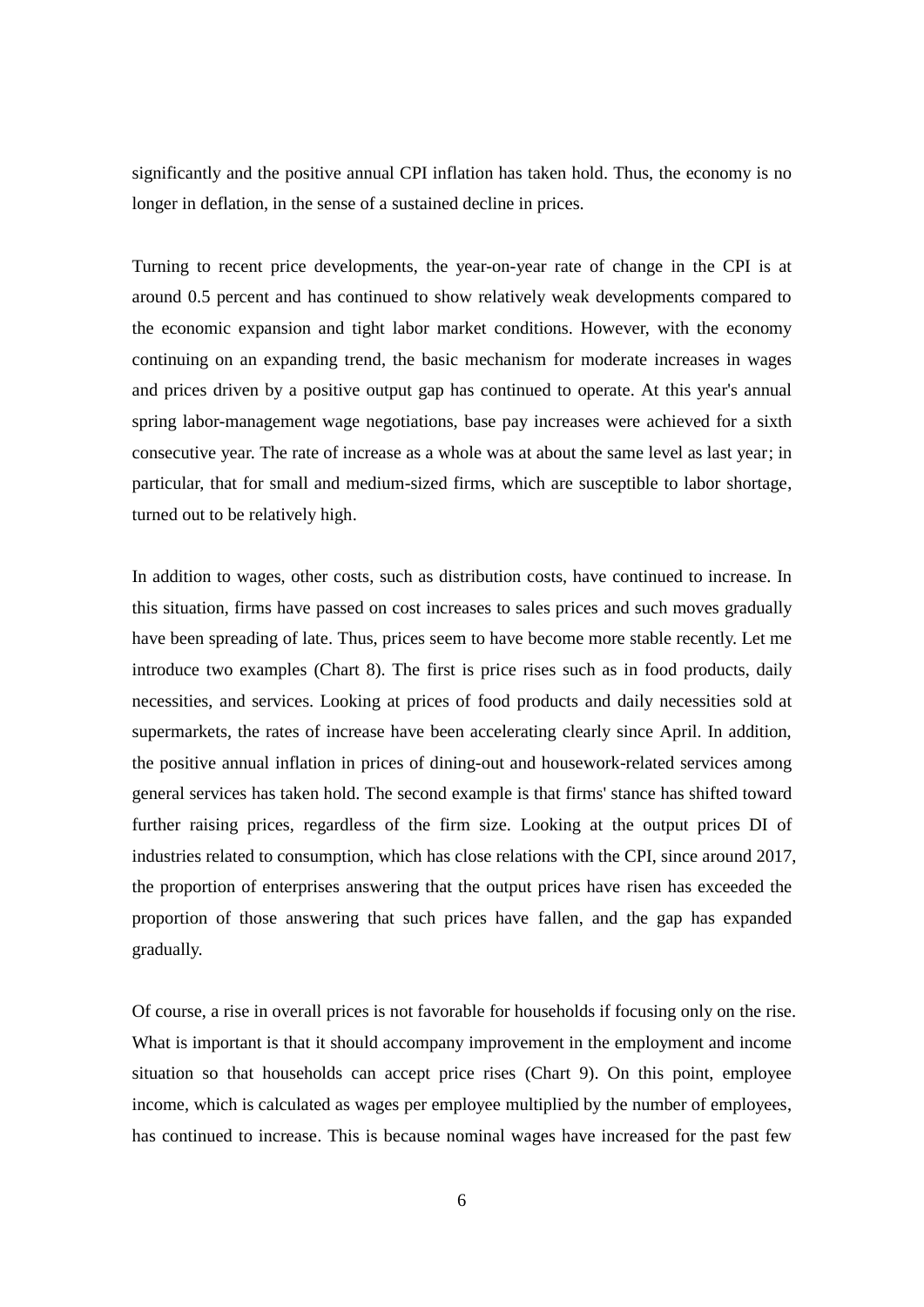significantly and the positive annual CPI inflation has taken hold. Thus, the economy is no longer in deflation, in the sense of a sustained decline in prices.

Turning to recent price developments, the year-on-year rate of change in the CPI is at around 0.5 percent and has continued to show relatively weak developments compared to the economic expansion and tight labor market conditions. However, with the economy continuing on an expanding trend, the basic mechanism for moderate increases in wages and prices driven by a positive output gap has continued to operate. At this year's annual spring labor-management wage negotiations, base pay increases were achieved for a sixth consecutive year. The rate of increase as a whole was at about the same level as last year; in particular, that for small and medium-sized firms, which are susceptible to labor shortage, turned out to be relatively high.

In addition to wages, other costs, such as distribution costs, have continued to increase. In this situation, firms have passed on cost increases to sales prices and such moves gradually have been spreading of late. Thus, prices seem to have become more stable recently. Let me introduce two examples (Chart 8). The first is price rises such as in food products, daily necessities, and services. Looking at prices of food products and daily necessities sold at supermarkets, the rates of increase have been accelerating clearly since April. In addition, the positive annual inflation in prices of dining-out and housework-related services among general services has taken hold. The second example is that firms' stance has shifted toward further raising prices, regardless of the firm size. Looking at the output prices DI of industries related to consumption, which has close relations with the CPI, since around 2017, the proportion of enterprises answering that the output prices have risen has exceeded the proportion of those answering that such prices have fallen, and the gap has expanded gradually.

Of course, a rise in overall prices is not favorable for households if focusing only on the rise. What is important is that it should accompany improvement in the employment and income situation so that households can accept price rises (Chart 9). On this point, employee income, which is calculated as wages per employee multiplied by the number of employees, has continued to increase. This is because nominal wages have increased for the past few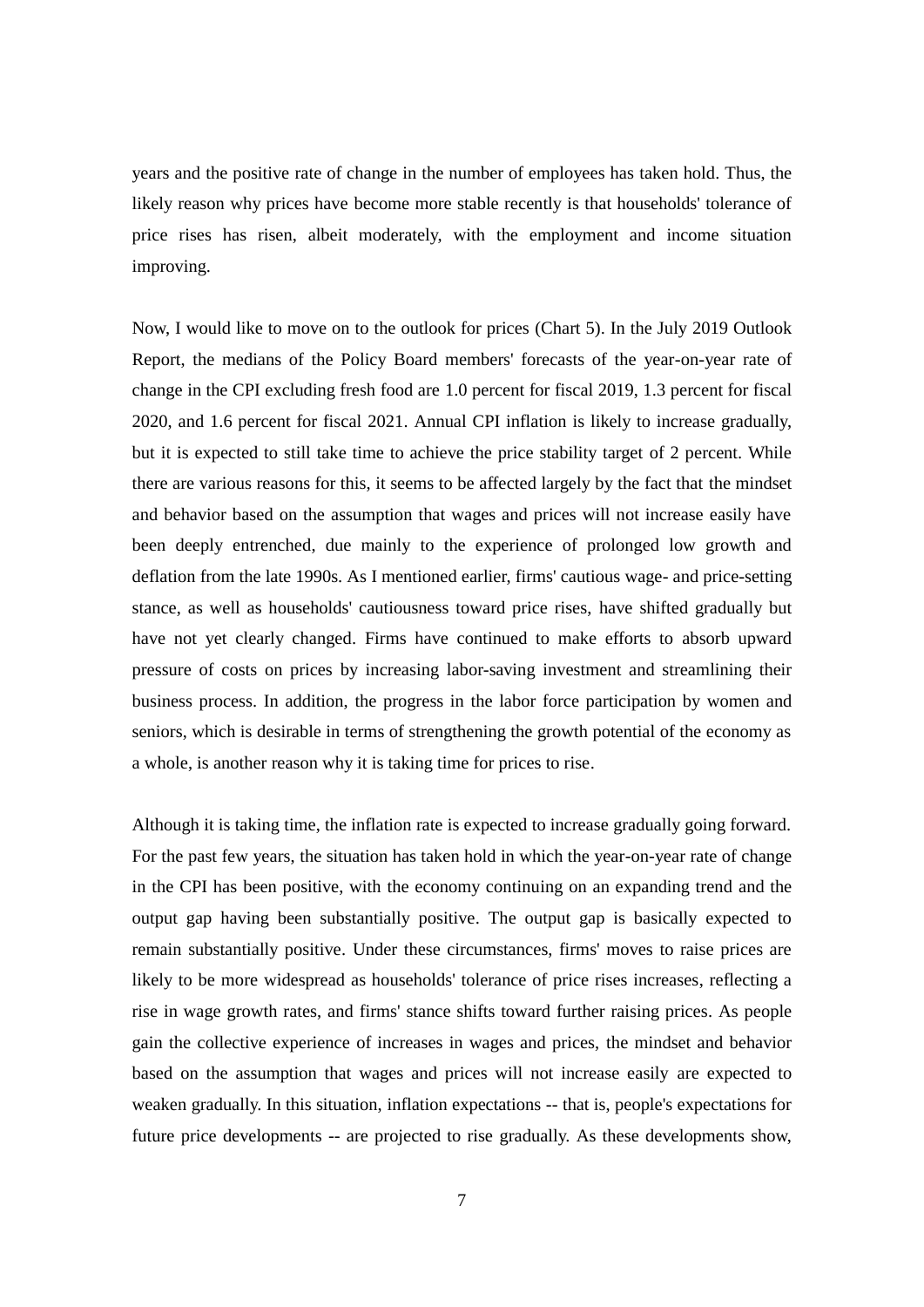years and the positive rate of change in the number of employees has taken hold. Thus, the likely reason why prices have become more stable recently is that households' tolerance of price rises has risen, albeit moderately, with the employment and income situation improving.

Now, I would like to move on to the outlook for prices (Chart 5). In the July 2019 Outlook Report, the medians of the Policy Board members' forecasts of the year-on-year rate of change in the CPI excluding fresh food are 1.0 percent for fiscal 2019, 1.3 percent for fiscal 2020, and 1.6 percent for fiscal 2021. Annual CPI inflation is likely to increase gradually, but it is expected to still take time to achieve the price stability target of 2 percent. While there are various reasons for this, it seems to be affected largely by the fact that the mindset and behavior based on the assumption that wages and prices will not increase easily have been deeply entrenched, due mainly to the experience of prolonged low growth and deflation from the late 1990s. As I mentioned earlier, firms' cautious wage- and price-setting stance, as well as households' cautiousness toward price rises, have shifted gradually but have not yet clearly changed. Firms have continued to make efforts to absorb upward pressure of costs on prices by increasing labor-saving investment and streamlining their business process. In addition, the progress in the labor force participation by women and seniors, which is desirable in terms of strengthening the growth potential of the economy as a whole, is another reason why it is taking time for prices to rise.

Although it is taking time, the inflation rate is expected to increase gradually going forward. For the past few years, the situation has taken hold in which the year-on-year rate of change in the CPI has been positive, with the economy continuing on an expanding trend and the output gap having been substantially positive. The output gap is basically expected to remain substantially positive. Under these circumstances, firms' moves to raise prices are likely to be more widespread as households' tolerance of price rises increases, reflecting a rise in wage growth rates, and firms' stance shifts toward further raising prices. As people gain the collective experience of increases in wages and prices, the mindset and behavior based on the assumption that wages and prices will not increase easily are expected to weaken gradually. In this situation, inflation expectations -- that is, people's expectations for future price developments -- are projected to rise gradually. As these developments show,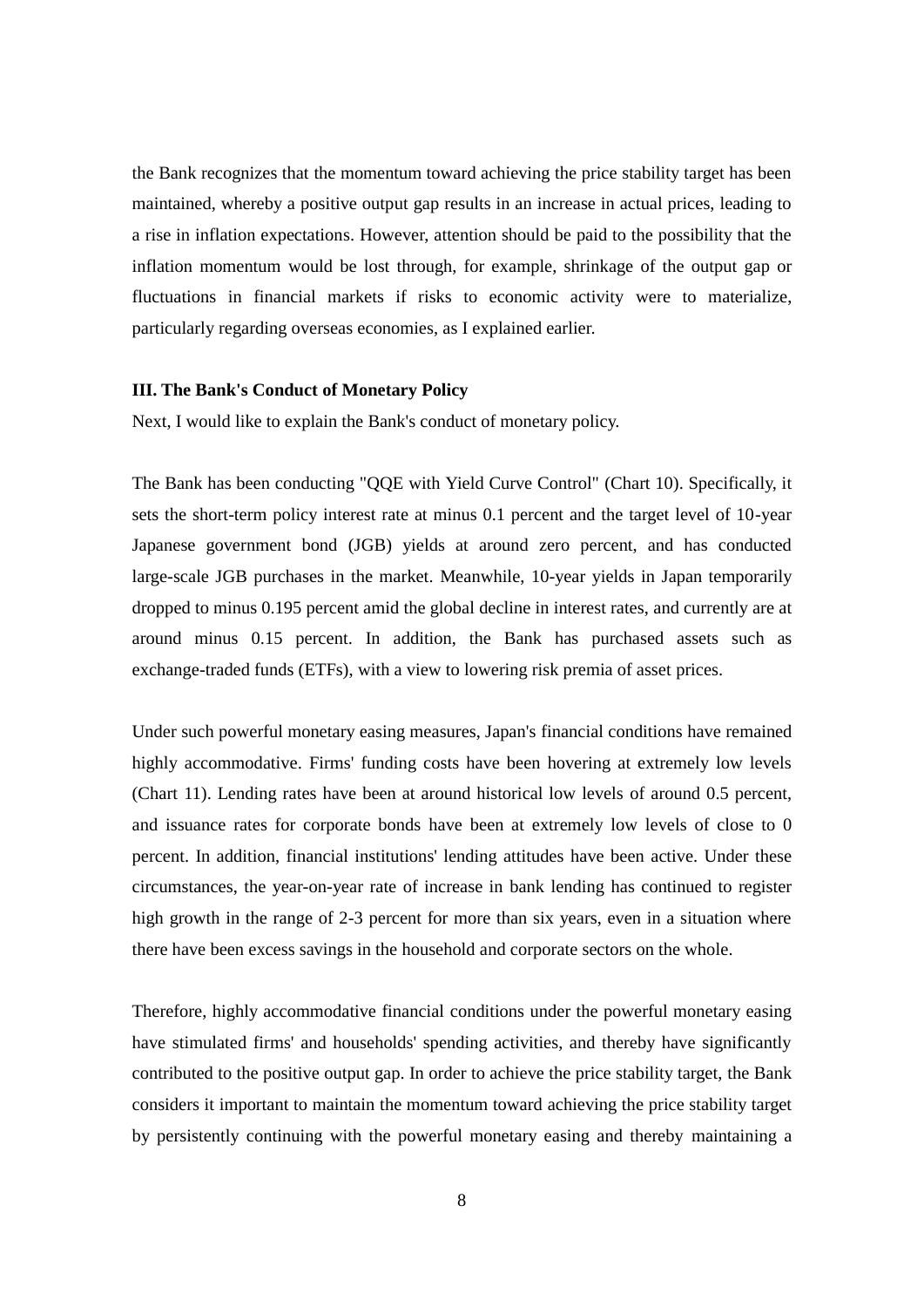the Bank recognizes that the momentum toward achieving the price stability target has been maintained, whereby a positive output gap results in an increase in actual prices, leading to a rise in inflation expectations. However, attention should be paid to the possibility that the inflation momentum would be lost through, for example, shrinkage of the output gap or fluctuations in financial markets if risks to economic activity were to materialize, particularly regarding overseas economies, as I explained earlier.

### **III. The Bank's Conduct of Monetary Policy**

Next, I would like to explain the Bank's conduct of monetary policy.

The Bank has been conducting "QQE with Yield Curve Control" (Chart 10). Specifically, it sets the short-term policy interest rate at minus 0.1 percent and the target level of 10-year Japanese government bond (JGB) yields at around zero percent, and has conducted large-scale JGB purchases in the market. Meanwhile, 10-year yields in Japan temporarily dropped to minus 0.195 percent amid the global decline in interest rates, and currently are at around minus 0.15 percent. In addition, the Bank has purchased assets such as exchange-traded funds (ETFs), with a view to lowering risk premia of asset prices.

Under such powerful monetary easing measures, Japan's financial conditions have remained highly accommodative. Firms' funding costs have been hovering at extremely low levels (Chart 11). Lending rates have been at around historical low levels of around 0.5 percent, and issuance rates for corporate bonds have been at extremely low levels of close to 0 percent. In addition, financial institutions' lending attitudes have been active. Under these circumstances, the year-on-year rate of increase in bank lending has continued to register high growth in the range of 2-3 percent for more than six years, even in a situation where there have been excess savings in the household and corporate sectors on the whole.

Therefore, highly accommodative financial conditions under the powerful monetary easing have stimulated firms' and households' spending activities, and thereby have significantly contributed to the positive output gap. In order to achieve the price stability target, the Bank considers it important to maintain the momentum toward achieving the price stability target by persistently continuing with the powerful monetary easing and thereby maintaining a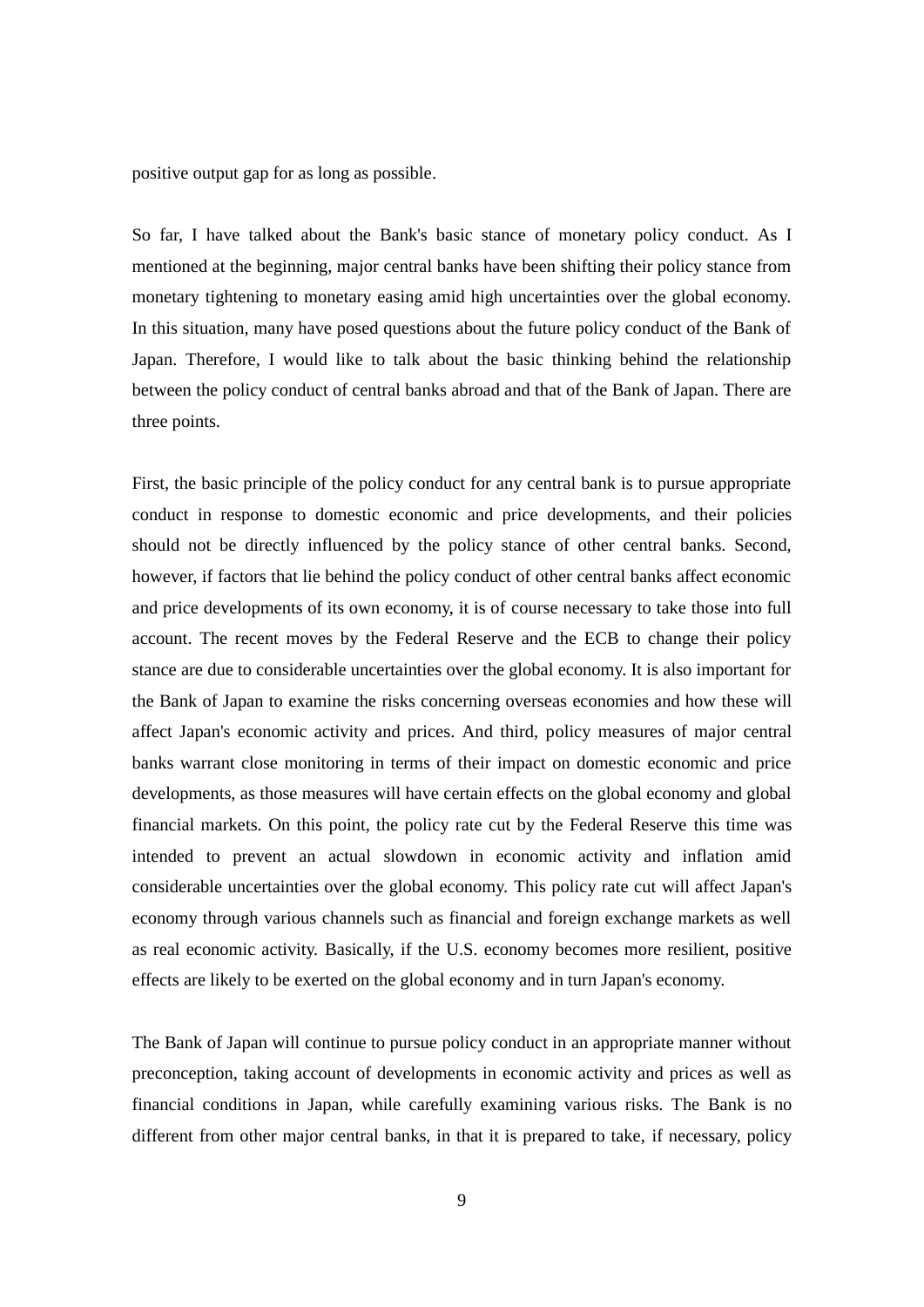positive output gap for as long as possible.

So far, I have talked about the Bank's basic stance of monetary policy conduct. As I mentioned at the beginning, major central banks have been shifting their policy stance from monetary tightening to monetary easing amid high uncertainties over the global economy. In this situation, many have posed questions about the future policy conduct of the Bank of Japan. Therefore, I would like to talk about the basic thinking behind the relationship between the policy conduct of central banks abroad and that of the Bank of Japan. There are three points.

First, the basic principle of the policy conduct for any central bank is to pursue appropriate conduct in response to domestic economic and price developments, and their policies should not be directly influenced by the policy stance of other central banks. Second, however, if factors that lie behind the policy conduct of other central banks affect economic and price developments of its own economy, it is of course necessary to take those into full account. The recent moves by the Federal Reserve and the ECB to change their policy stance are due to considerable uncertainties over the global economy. It is also important for the Bank of Japan to examine the risks concerning overseas economies and how these will affect Japan's economic activity and prices. And third, policy measures of major central banks warrant close monitoring in terms of their impact on domestic economic and price developments, as those measures will have certain effects on the global economy and global financial markets. On this point, the policy rate cut by the Federal Reserve this time was intended to prevent an actual slowdown in economic activity and inflation amid considerable uncertainties over the global economy. This policy rate cut will affect Japan's economy through various channels such as financial and foreign exchange markets as well as real economic activity. Basically, if the U.S. economy becomes more resilient, positive effects are likely to be exerted on the global economy and in turn Japan's economy.

The Bank of Japan will continue to pursue policy conduct in an appropriate manner without preconception, taking account of developments in economic activity and prices as well as financial conditions in Japan, while carefully examining various risks. The Bank is no different from other major central banks, in that it is prepared to take, if necessary, policy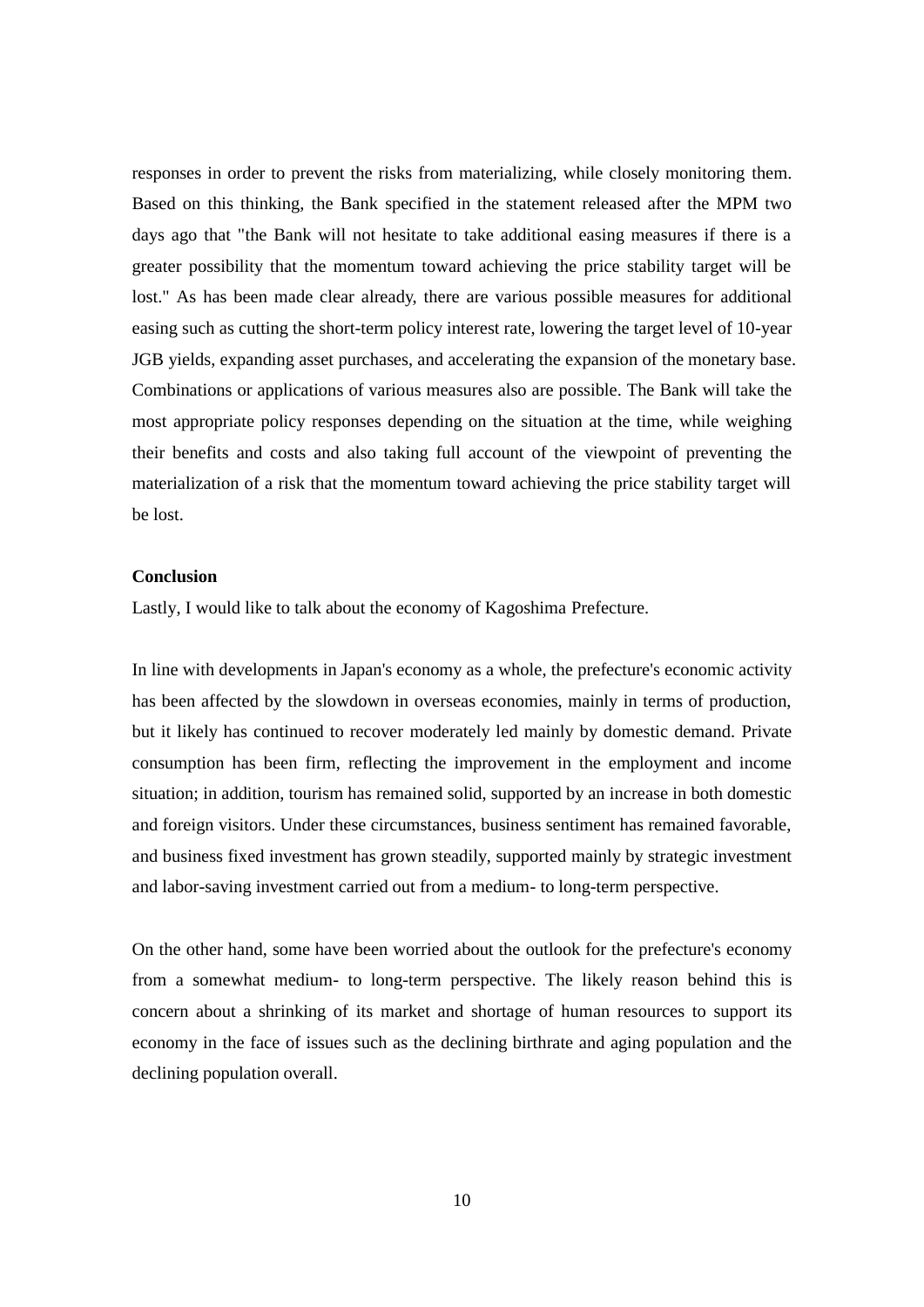responses in order to prevent the risks from materializing, while closely monitoring them. Based on this thinking, the Bank specified in the statement released after the MPM two days ago that "the Bank will not hesitate to take additional easing measures if there is a greater possibility that the momentum toward achieving the price stability target will be lost." As has been made clear already, there are various possible measures for additional easing such as cutting the short-term policy interest rate, lowering the target level of 10-year JGB yields, expanding asset purchases, and accelerating the expansion of the monetary base. Combinations or applications of various measures also are possible. The Bank will take the most appropriate policy responses depending on the situation at the time, while weighing their benefits and costs and also taking full account of the viewpoint of preventing the materialization of a risk that the momentum toward achieving the price stability target will be lost.

### **Conclusion**

Lastly, I would like to talk about the economy of Kagoshima Prefecture.

In line with developments in Japan's economy as a whole, the prefecture's economic activity has been affected by the slowdown in overseas economies, mainly in terms of production, but it likely has continued to recover moderately led mainly by domestic demand. Private consumption has been firm, reflecting the improvement in the employment and income situation; in addition, tourism has remained solid, supported by an increase in both domestic and foreign visitors. Under these circumstances, business sentiment has remained favorable, and business fixed investment has grown steadily, supported mainly by strategic investment and labor-saving investment carried out from a medium- to long-term perspective.

On the other hand, some have been worried about the outlook for the prefecture's economy from a somewhat medium- to long-term perspective. The likely reason behind this is concern about a shrinking of its market and shortage of human resources to support its economy in the face of issues such as the declining birthrate and aging population and the declining population overall.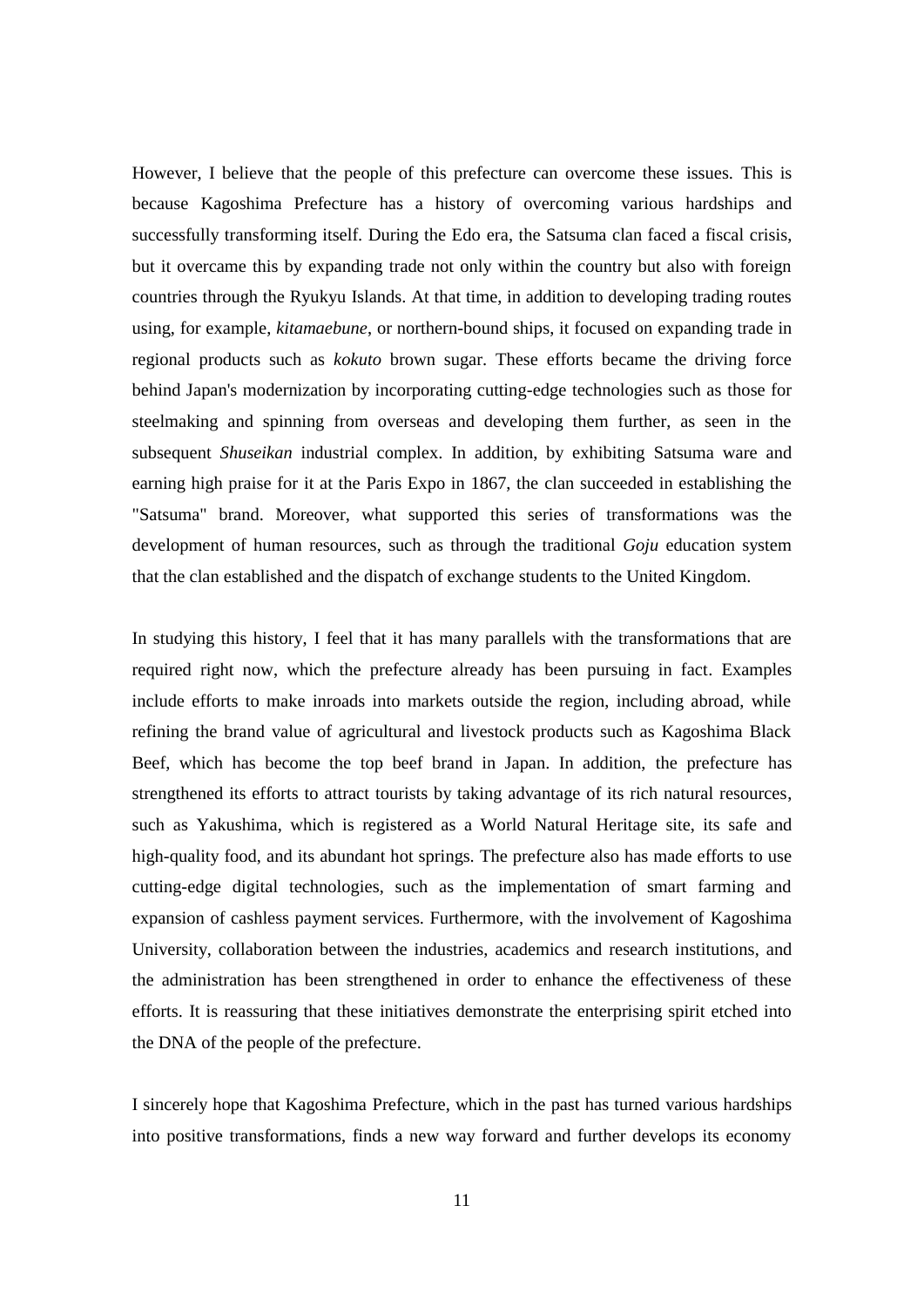However, I believe that the people of this prefecture can overcome these issues. This is because Kagoshima Prefecture has a history of overcoming various hardships and successfully transforming itself. During the Edo era, the Satsuma clan faced a fiscal crisis, but it overcame this by expanding trade not only within the country but also with foreign countries through the Ryukyu Islands. At that time, in addition to developing trading routes using, for example, *kitamaebune*, or northern-bound ships, it focused on expanding trade in regional products such as *kokuto* brown sugar. These efforts became the driving force behind Japan's modernization by incorporating cutting-edge technologies such as those for steelmaking and spinning from overseas and developing them further, as seen in the subsequent *Shuseikan* industrial complex. In addition, by exhibiting Satsuma ware and earning high praise for it at the Paris Expo in 1867, the clan succeeded in establishing the "Satsuma" brand. Moreover, what supported this series of transformations was the development of human resources, such as through the traditional *Goju* education system that the clan established and the dispatch of exchange students to the United Kingdom.

In studying this history, I feel that it has many parallels with the transformations that are required right now, which the prefecture already has been pursuing in fact. Examples include efforts to make inroads into markets outside the region, including abroad, while refining the brand value of agricultural and livestock products such as Kagoshima Black Beef, which has become the top beef brand in Japan. In addition, the prefecture has strengthened its efforts to attract tourists by taking advantage of its rich natural resources, such as Yakushima, which is registered as a World Natural Heritage site, its safe and high-quality food, and its abundant hot springs. The prefecture also has made efforts to use cutting-edge digital technologies, such as the implementation of smart farming and expansion of cashless payment services. Furthermore, with the involvement of Kagoshima University, collaboration between the industries, academics and research institutions, and the administration has been strengthened in order to enhance the effectiveness of these efforts. It is reassuring that these initiatives demonstrate the enterprising spirit etched into the DNA of the people of the prefecture.

I sincerely hope that Kagoshima Prefecture, which in the past has turned various hardships into positive transformations, finds a new way forward and further develops its economy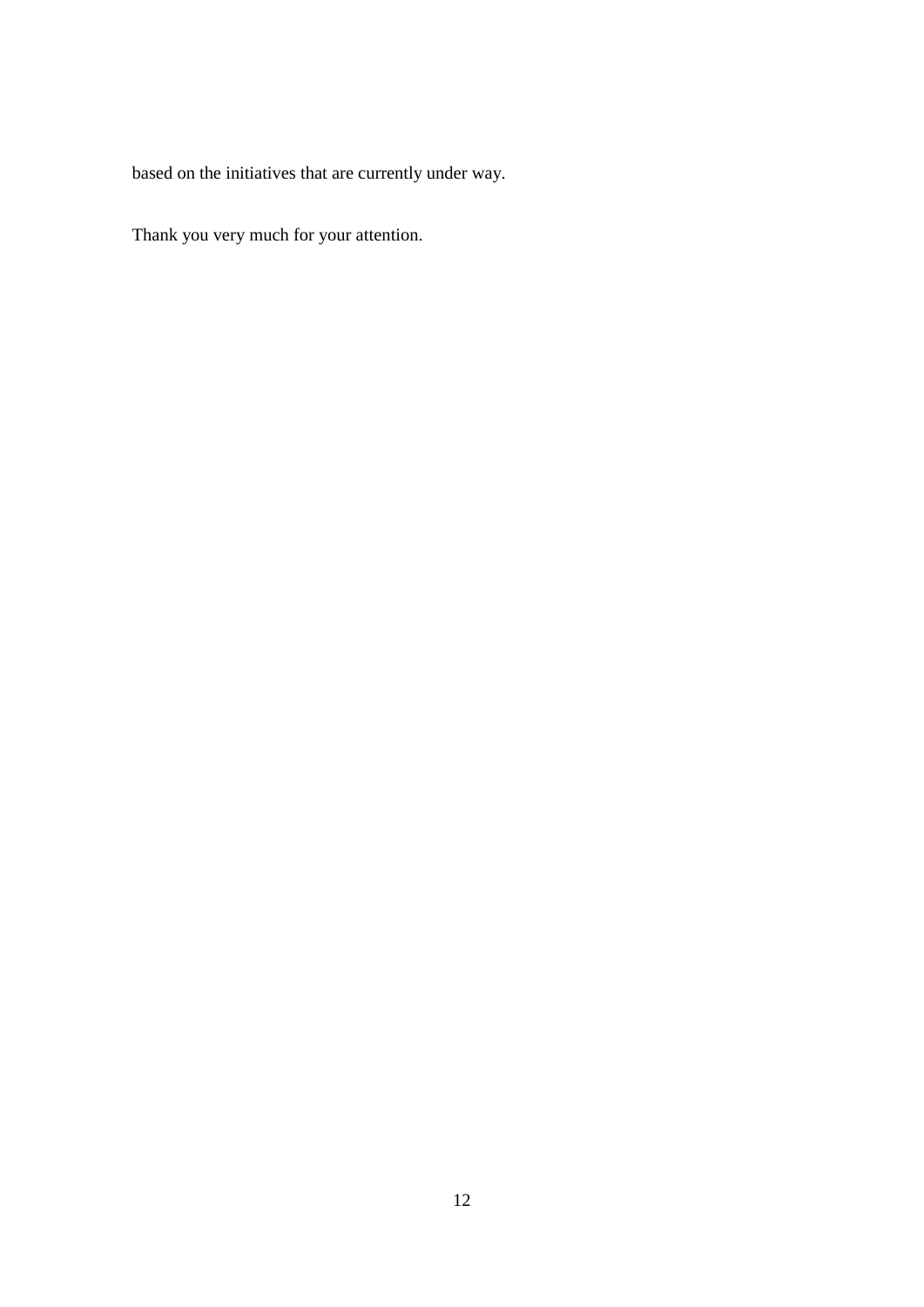based on the initiatives that are currently under way.

Thank you very much for your attention.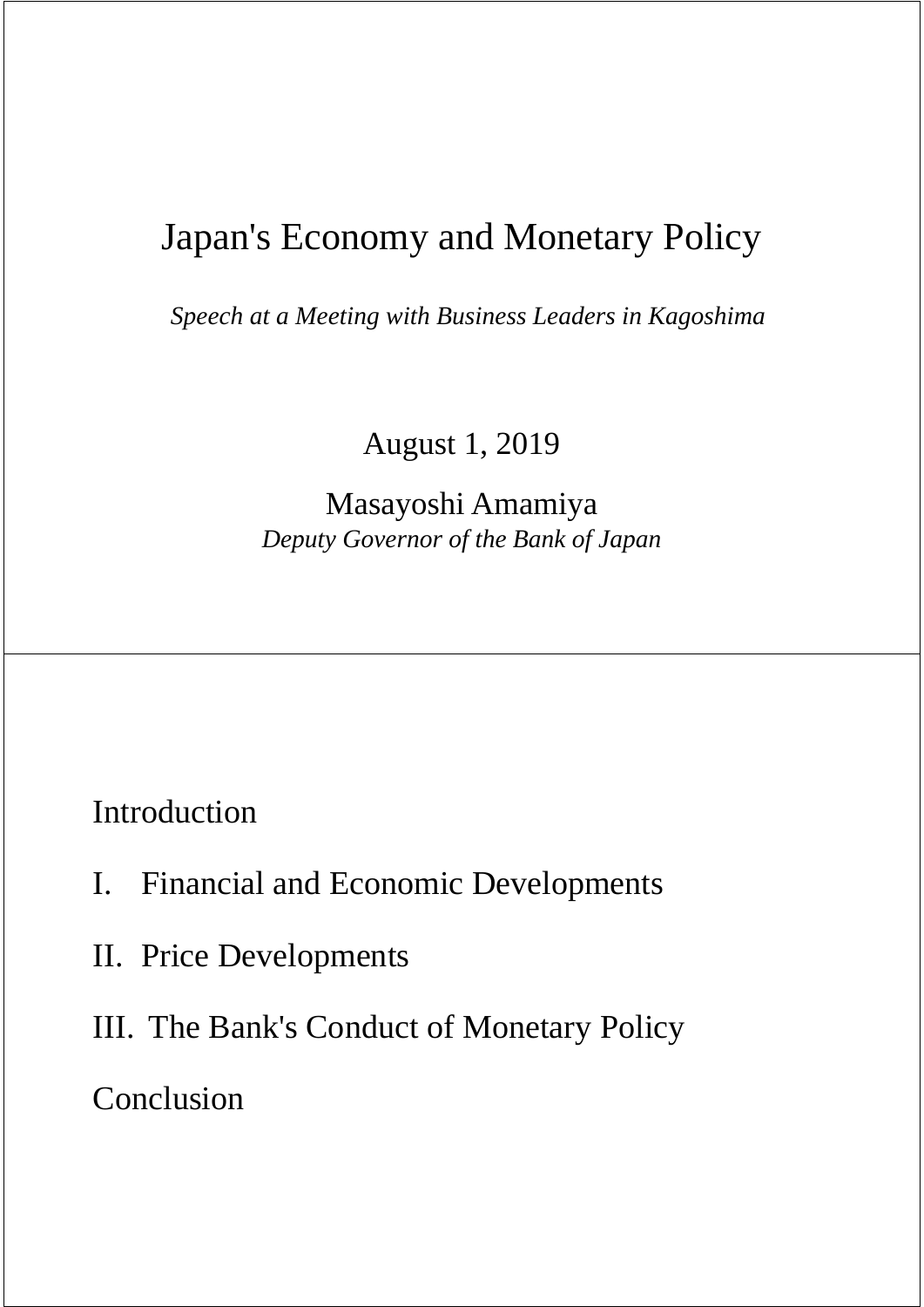# Japan's Economy and Monetary Policy

*Speech at a Meeting with Business Leaders in Kagoshima*

August 1, 2019

Masayoshi Amamiya *Deputy Governor of the Bank of Japan*

Introduction

- I. Financial and Economic Developments
- II. Price Developments
- III. The Bank's Conduct of Monetary Policy

Conclusion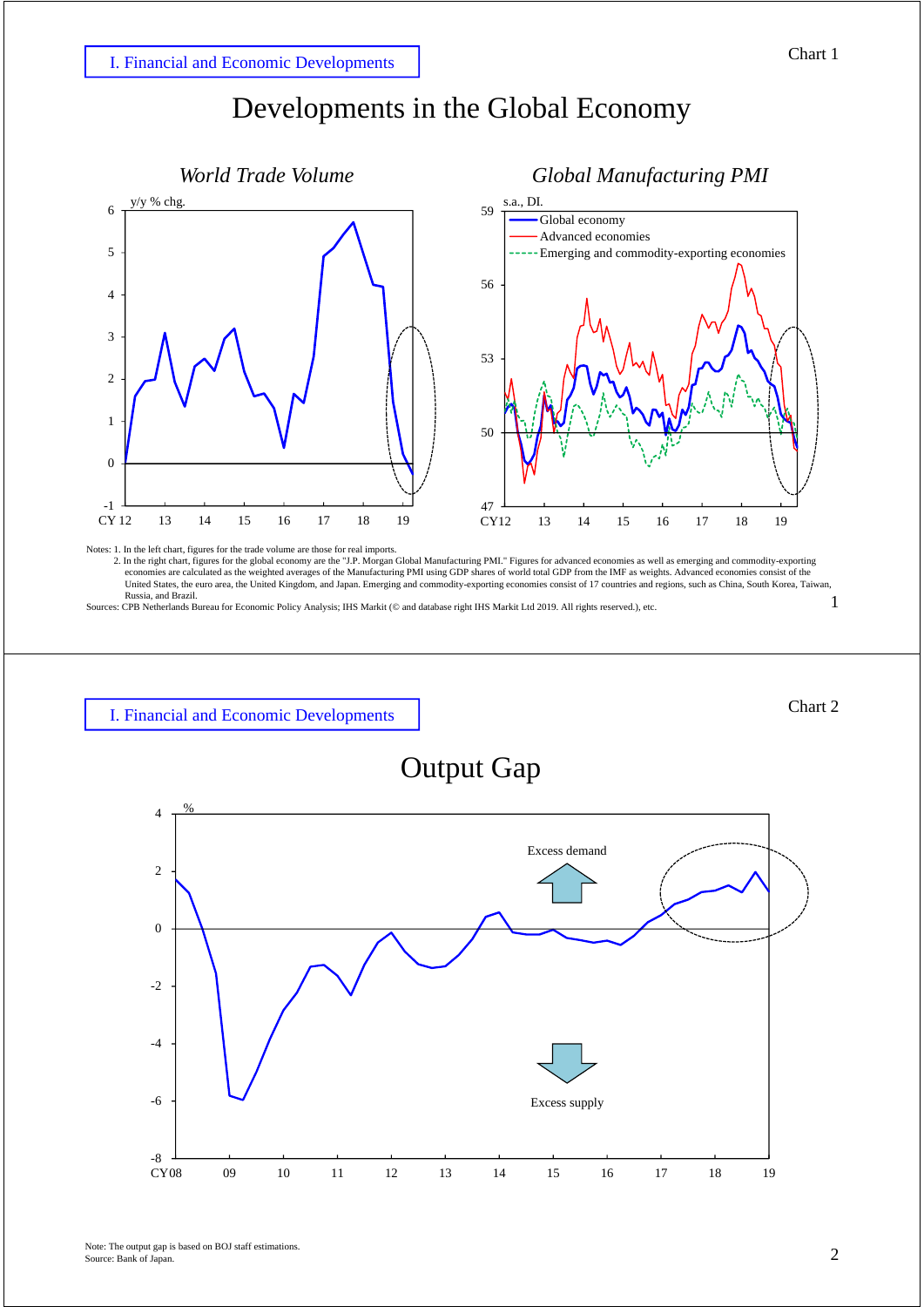# Developments in the Global Economy



Notes: 1. In the left chart, figures for the trade volume are those for real imports.

1 2. In the right chart, figures for the global economy are the "J.P. Morgan Global Manufacturing PMI." Figures for advanced economies as well as emerging and commodity-exporting economies are calculated as the weighted averages of the Manufacturing PMI using GDP shares of world total GDP from the IMF as weights. Advanced economies consist of the United States, the euro area, the United Kingdom, and Japan. Emerging and commodity-exporting economies consist of 17 countries and regions, such as China, South Korea, Taiwan, Russia, and Brazil.

Sources: CPB Netherlands Bureau for Economic Policy Analysis; IHS Markit (© and database right IHS Markit Ltd 2019. All rights reserved.), etc.



### Output Gap

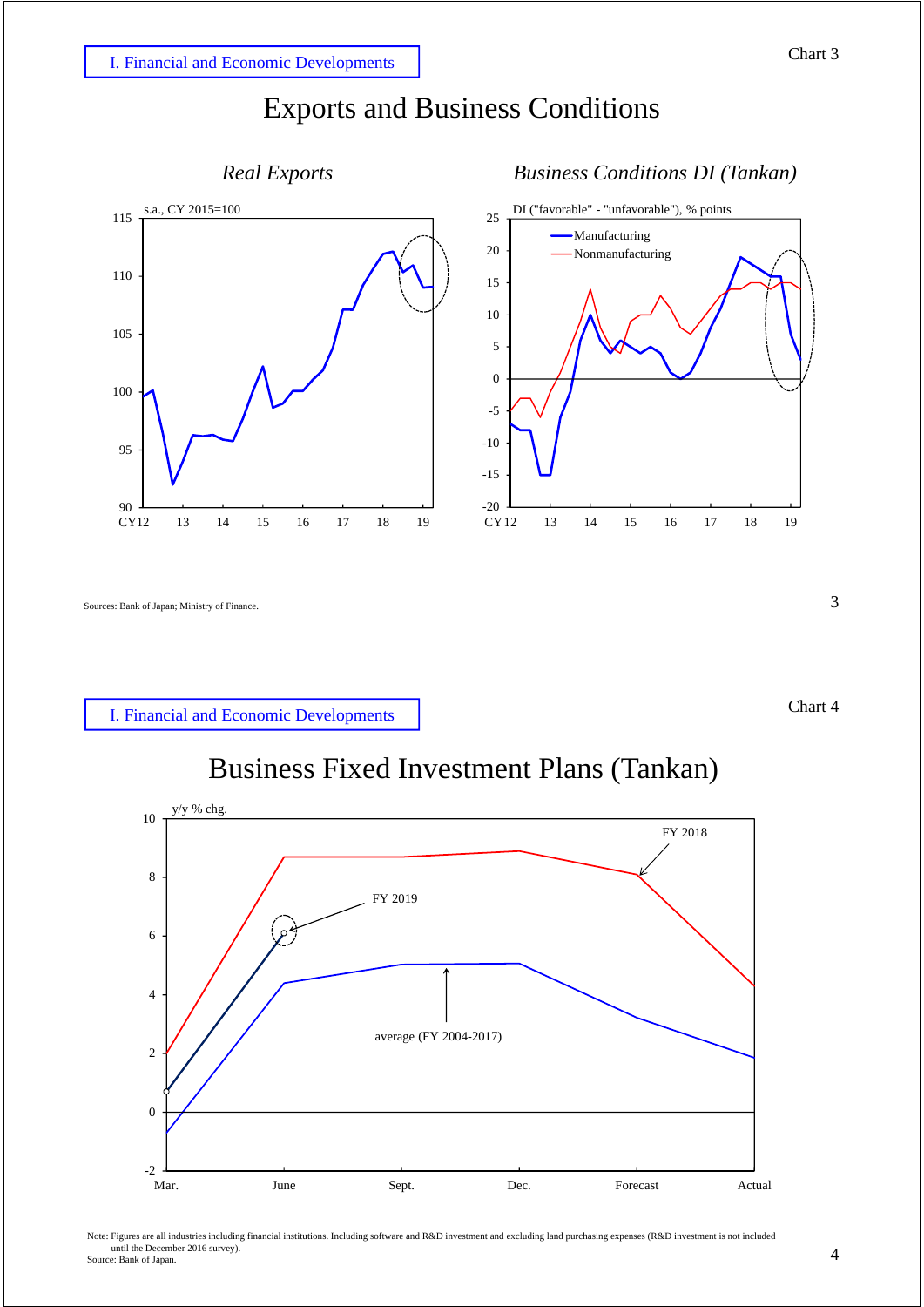



```
Sources: Bank of Japan; Ministry of Finance. 3
```


# Business Fixed Investment Plans (Tankan)



Note: Figures are all industries including financial institutions. Including software and R&D investment and excluding land purchasing expenses (R&D investment is not included until the December 2016 survey). Source: Bank of Japan.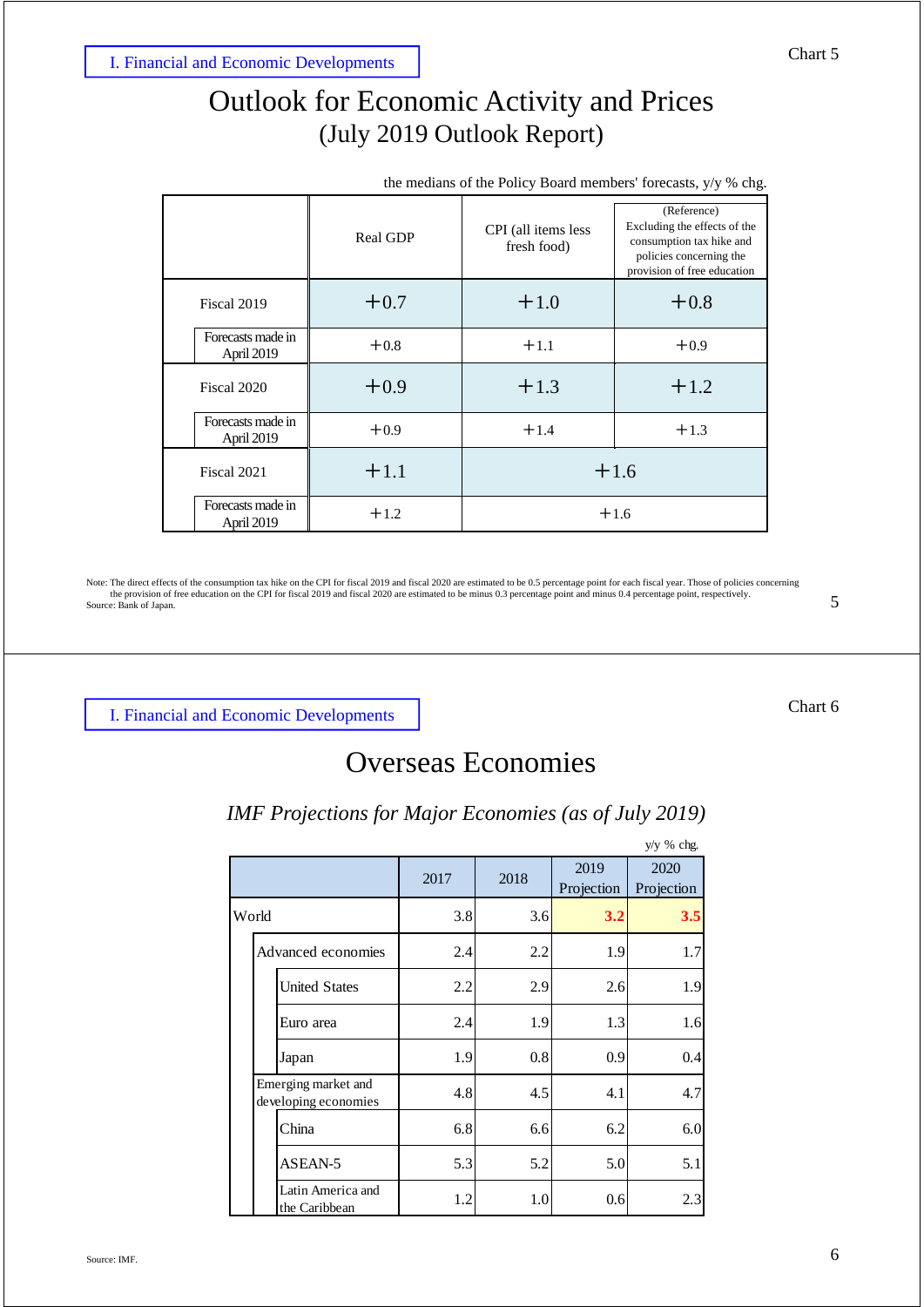# Outlook for Economic Activity and Prices (July 2019 Outlook Report)

|             |                                 | Real GDP | CPI (all items less<br>fresh food) | (Reference)<br>Excluding the effects of the<br>consumption tax hike and<br>policies concerning the<br>provision of free education |  |  |  |  |
|-------------|---------------------------------|----------|------------------------------------|-----------------------------------------------------------------------------------------------------------------------------------|--|--|--|--|
|             | Fiscal 2019                     | $+0.7$   | $+1.0$                             | $+0.8$                                                                                                                            |  |  |  |  |
|             | Forecasts made in<br>April 2019 | $+0.8$   | $+1.1$                             | $+0.9$                                                                                                                            |  |  |  |  |
|             | Fiscal 2020                     | $+0.9$   | $+1.3$                             | $+1.2$                                                                                                                            |  |  |  |  |
|             | Forecasts made in<br>April 2019 | $+0.9$   | $+1.4$                             | $+1.3$                                                                                                                            |  |  |  |  |
| Fiscal 2021 |                                 | $+1.1$   | $+1.6$                             |                                                                                                                                   |  |  |  |  |
|             | Forecasts made in<br>April 2019 | $+1.2$   | $+1.6$                             |                                                                                                                                   |  |  |  |  |

Note: The direct effects of the consumption tax hike on the CPI for fiscal 2019 and fiscal 2020 are estimated to be 0.5 percentage point for each fiscal year. Those of policies concerning<br>the provision of free education on Source: Bank of Japan.

I. Financial and Economic Developments

# Overseas Economies

### *IMF Projections for Major Economies (as of July 2019)*

|       |  |                                             |      |      |                    | $y/y$ % chg.       |
|-------|--|---------------------------------------------|------|------|--------------------|--------------------|
|       |  |                                             | 2017 | 2018 | 2019<br>Projection | 2020<br>Projection |
| World |  |                                             | 3.8  | 3.6  | 3.2                | 3.5                |
|       |  | Advanced economies                          | 2.4  | 2.2  | 1.9                | 1.7                |
|       |  | <b>United States</b>                        | 2.2  | 2.9  | 2.6                | 1.9                |
|       |  | Euro area                                   | 2.4  | 1.9  | 1.3                | 1.6                |
|       |  | Japan                                       | 1.9  | 0.8  | 0.9                | 0.4                |
|       |  | Emerging market and<br>developing economies | 4.8  | 4.5  | 4.1                | 4.7                |
|       |  | China                                       | 6.8  | 6.6  | 6.2                | 6.0                |
|       |  | ASEAN-5                                     | 5.3  | 5.2  | 5.0                | 5.1                |
|       |  | Latin America and<br>the Caribbean          | 1.2  | 1.0  | 0.6                | 2.3                |

### the medians of the Policy Board members' forecasts, y/y % chg.

Chart 6

5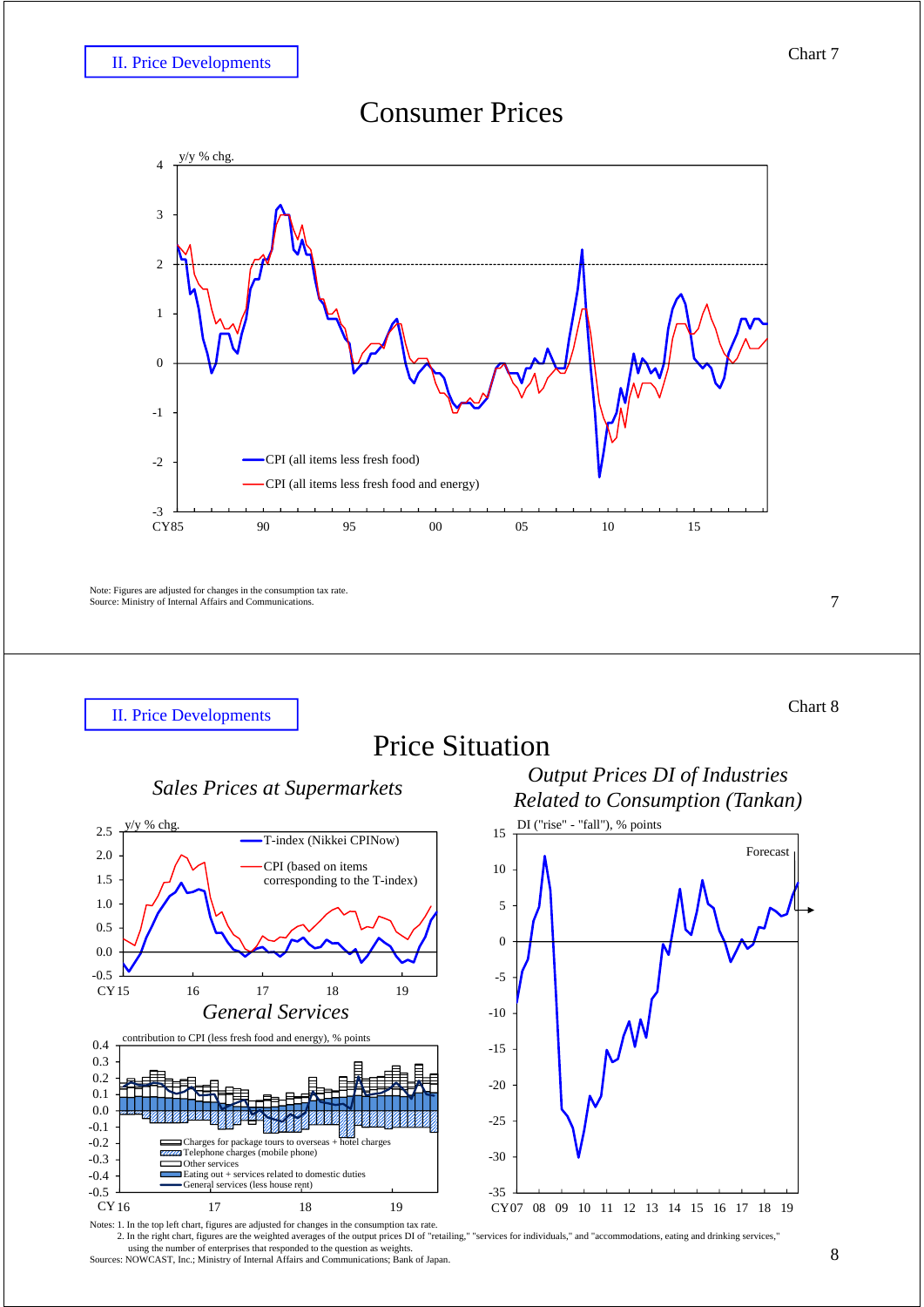### Consumer Prices



Note: Figures are adjusted for changes in the consumption tax rate. Source: Ministry of Internal Affairs and Communications.

II. Price Developments

# Price Situation







2. In the right chart, figures are the weighted averages of the output prices DI of "retailing," "services for individuals," and "accommodations, eating and drinking services," using the number of enterprises that responded to the question as weights. Sources: NOWCAST, Inc.; Ministry of Internal Affairs and Communications; Bank of Japan.

7

Chart 8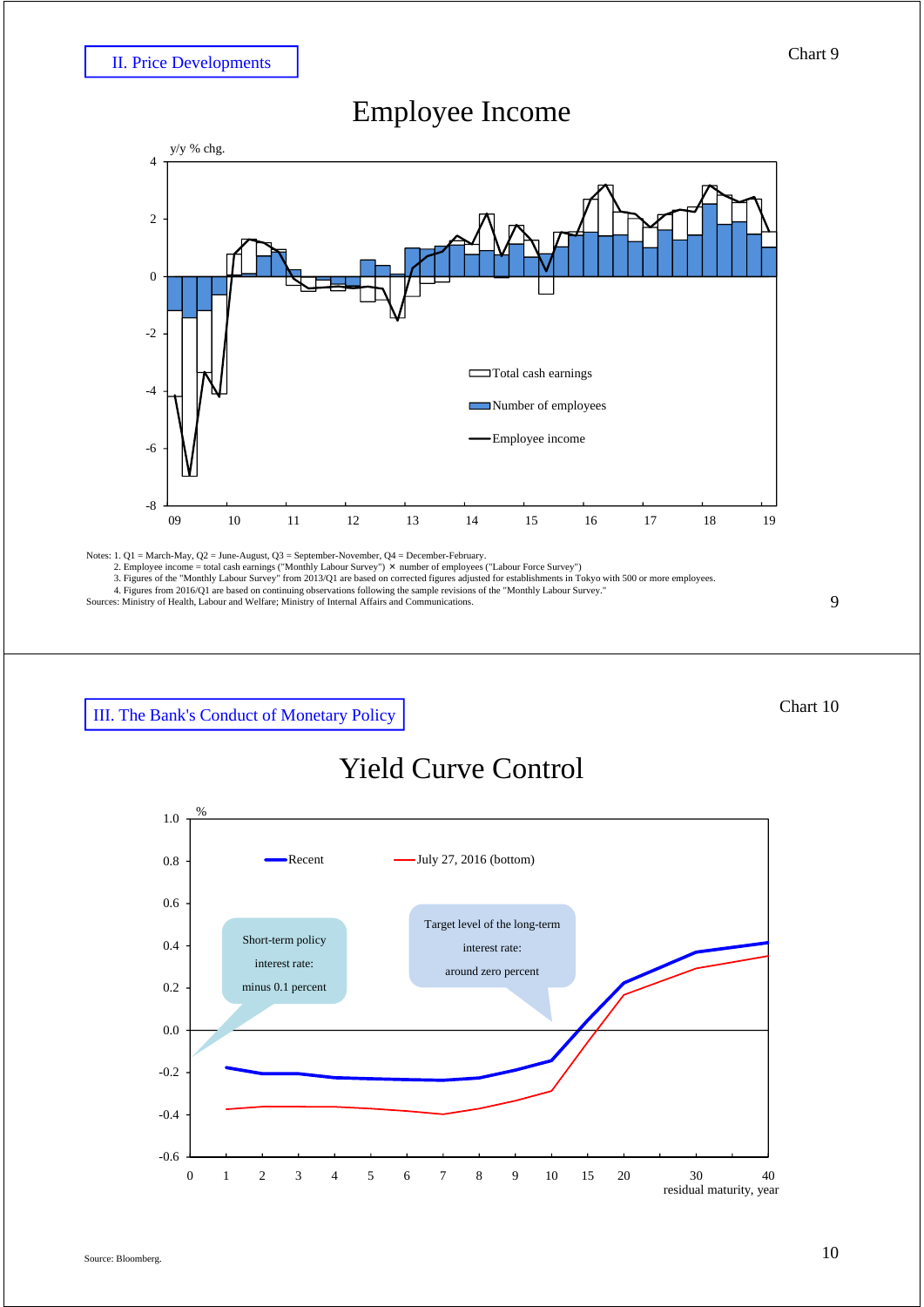### Employee Income



Notes: 1. Q1 = March-May, Q2 = June-August, Q3 = September-November, Q4 = December-February.<br>
2. Employee income = total cash earnings ("Monthly Labour Survey") × number of employees ("Labour Force Survey")<br>
3. Figures of

III. The Bank's Conduct of Monetary Policy

### Chart 10

9

### Yield Curve Control